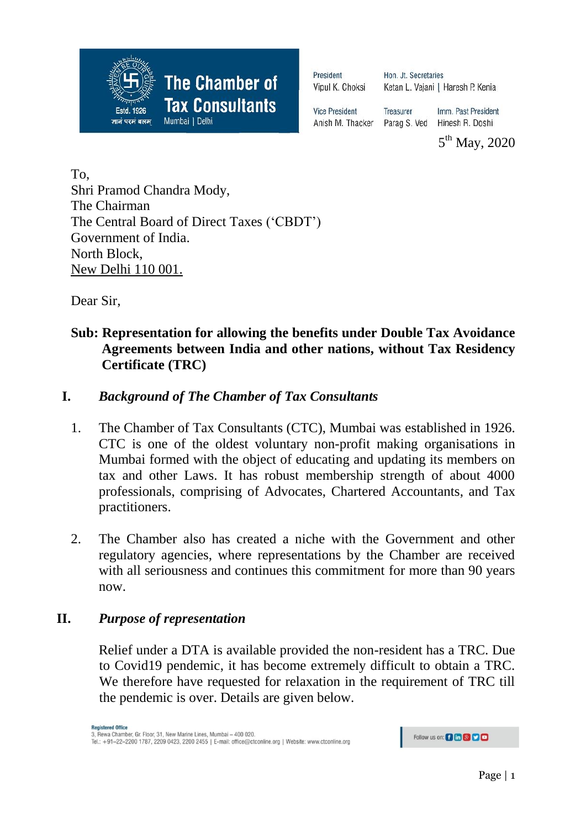

President Vipul K. Choksi Hon, Jt. Secretaries Ketan L. Vajani | Haresh P. Kenia

**Vice President** Anish M. Thacker

Imm. Past President Treasurer Parag S. Ved Hinesh R. Doshi

5<sup>th</sup> May, 2020

To, Shri Pramod Chandra Mody, The Chairman The Central Board of Direct Taxes ('CBDT') Government of India. North Block, New Delhi 110 001.

Dear Sir,

## **Sub: Representation for allowing the benefits under Double Tax Avoidance Agreements between India and other nations, without Tax Residency Certificate (TRC)**

## **I.** *Background of The Chamber of Tax Consultants*

- 1. The Chamber of Tax Consultants (CTC), Mumbai was established in 1926. CTC is one of the oldest voluntary non-profit making organisations in Mumbai formed with the object of educating and updating its members on tax and other Laws. It has robust membership strength of about 4000 professionals, comprising of Advocates, Chartered Accountants, and Tax practitioners.
- 2. The Chamber also has created a niche with the Government and other regulatory agencies, where representations by the Chamber are received with all seriousness and continues this commitment for more than 90 years now.

## **II.** *Purpose of representation*

Relief under a DTA is available provided the non-resident has a TRC. Due to Covid19 pendemic, it has become extremely difficult to obtain a TRC. We therefore have requested for relaxation in the requirement of TRC till the pendemic is over. Details are given below.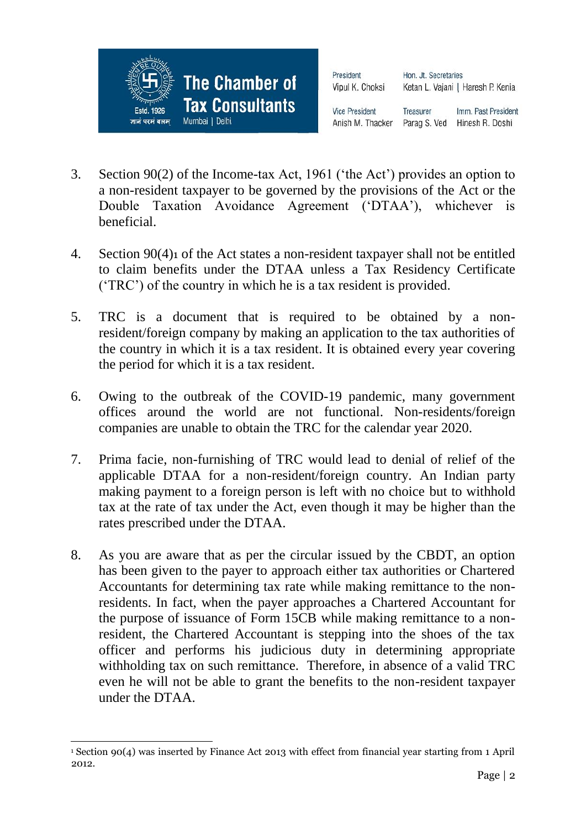

President Vipul K. Choksi Hon, Jt. Secretaries Ketan L. Vajani | Haresh P. Kenia

**Vice President** 

Imm. Past President Treasurer Anish M. Thacker Parag S. Ved Hinesh R. Doshi

- 3. Section 90(2) of the Income-tax Act, 1961 ('the Act') provides an option to a non-resident taxpayer to be governed by the provisions of the Act or the Double Taxation Avoidance Agreement ('DTAA'), whichever is beneficial.
- 4. Section 90(4)1 of the Act states a non-resident taxpayer shall not be entitled to claim benefits under the DTAA unless a Tax Residency Certificate ('TRC') of the country in which he is a tax resident is provided.
- 5. TRC is a document that is required to be obtained by a nonresident/foreign company by making an application to the tax authorities of the country in which it is a tax resident. It is obtained every year covering the period for which it is a tax resident.
- 6. Owing to the outbreak of the COVID-19 pandemic, many government offices around the world are not functional. Non-residents/foreign companies are unable to obtain the TRC for the calendar year 2020.
- 7. Prima facie, non-furnishing of TRC would lead to denial of relief of the applicable DTAA for a non-resident/foreign country. An Indian party making payment to a foreign person is left with no choice but to withhold tax at the rate of tax under the Act, even though it may be higher than the rates prescribed under the DTAA.
- 8. As you are aware that as per the circular issued by the CBDT, an option has been given to the payer to approach either tax authorities or Chartered Accountants for determining tax rate while making remittance to the nonresidents. In fact, when the payer approaches a Chartered Accountant for the purpose of issuance of Form 15CB while making remittance to a nonresident, the Chartered Accountant is stepping into the shoes of the tax officer and performs his judicious duty in determining appropriate withholding tax on such remittance. Therefore, in absence of a valid TRC even he will not be able to grant the benefits to the non-resident taxpayer under the DTAA.

 $\overline{a}$ <sup>1</sup> Section 90(4) was inserted by Finance Act 2013 with effect from financial year starting from 1 April 2012.